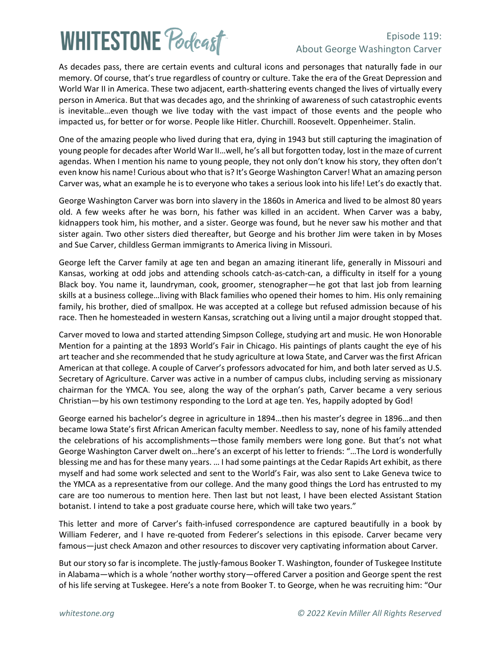# **WHITESTONE Podcast**

### Episode 119: About George Washington Carver

As decades pass, there are certain events and cultural icons and personages that naturally fade in our memory. Of course, that's true regardless of country or culture. Take the era of the Great Depression and World War II in America. These two adjacent, earth-shattering events changed the lives of virtually every person in America. But that was decades ago, and the shrinking of awareness of such catastrophic events is inevitable…even though we live today with the vast impact of those events and the people who impacted us, for better or for worse. People like Hitler. Churchill. Roosevelt. Oppenheimer. Stalin.

One of the amazing people who lived during that era, dying in 1943 but still capturing the imagination of young people for decades after World War II…well, he's all but forgotten today, lost in the maze of current agendas. When I mention his name to young people, they not only don't know his story, they often don't even know his name! Curious about who that is? It's George Washington Carver! What an amazing person Carver was, what an example he is to everyone who takes a serious look into his life! Let's do exactly that.

George Washington Carver was born into slavery in the 1860s in America and lived to be almost 80 years old. A few weeks after he was born, his father was killed in an accident. When Carver was a baby, kidnappers took him, his mother, and a sister. George was found, but he never saw his mother and that sister again. Two other sisters died thereafter, but George and his brother Jim were taken in by Moses and Sue Carver, childless German immigrants to America living in Missouri.

George left the Carver family at age ten and began an amazing itinerant life, generally in Missouri and Kansas, working at odd jobs and attending schools catch-as-catch-can, a difficulty in itself for a young Black boy. You name it, laundryman, cook, groomer, stenographer—he got that last job from learning skills at a business college…living with Black families who opened their homes to him. His only remaining family, his brother, died of smallpox. He was accepted at a college but refused admission because of his race. Then he homesteaded in western Kansas, scratching out a living until a major drought stopped that.

Carver moved to Iowa and started attending Simpson College, studying art and music. He won Honorable Mention for a painting at the 1893 World's Fair in Chicago. His paintings of plants caught the eye of his art teacher and she recommended that he study agriculture at Iowa State, and Carver was the first African American at that college. A couple of Carver's professors advocated for him, and both later served as U.S. Secretary of Agriculture. Carver was active in a number of campus clubs, including serving as missionary chairman for the YMCA. You see, along the way of the orphan's path, Carver became a very serious Christian—by his own testimony responding to the Lord at age ten. Yes, happily adopted by God!

George earned his bachelor's degree in agriculture in 1894…then his master's degree in 1896…and then became Iowa State's first African American faculty member. Needless to say, none of his family attended the celebrations of his accomplishments—those family members were long gone. But that's not what George Washington Carver dwelt on…here's an excerpt of his letter to friends: "…The Lord is wonderfully blessing me and has for these many years. … I had some paintings at the Cedar Rapids Art exhibit, as there myself and had some work selected and sent to the World's Fair, was also sent to Lake Geneva twice to the YMCA as a representative from our college. And the many good things the Lord has entrusted to my care are too numerous to mention here. Then last but not least, I have been elected Assistant Station botanist. I intend to take a post graduate course here, which will take two years."

This letter and more of Carver's faith-infused correspondence are captured beautifully in a book by William Federer, and I have re-quoted from Federer's selections in this episode. Carver became very famous—just check Amazon and other resources to discover very captivating information about Carver.

But our story so far is incomplete. The justly-famous Booker T. Washington, founder of Tuskegee Institute in Alabama—which is a whole 'nother worthy story—offered Carver a position and George spent the rest of his life serving at Tuskegee. Here's a note from Booker T. to George, when he was recruiting him: "Our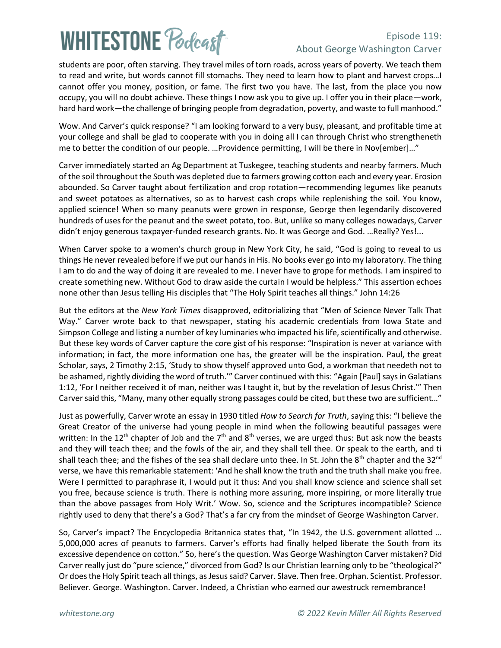# **WHITESTONE Podcast**

### Episode 119: About George Washington Carver

students are poor, often starving. They travel miles of torn roads, across years of poverty. We teach them to read and write, but words cannot fill stomachs. They need to learn how to plant and harvest crops…I cannot offer you money, position, or fame. The first two you have. The last, from the place you now occupy, you will no doubt achieve. These things I now ask you to give up. I offer you in their place—work, hard hard work—the challenge of bringing people from degradation, poverty, and waste to full manhood."

Wow. And Carver's quick response? "I am looking forward to a very busy, pleasant, and profitable time at your college and shall be glad to cooperate with you in doing all I can through Christ who strengtheneth me to better the condition of our people. …Providence permitting, I will be there in Nov[ember]…"

Carver immediately started an Ag Department at Tuskegee, teaching students and nearby farmers. Much of the soil throughout the South was depleted due to farmers growing cotton each and every year. Erosion abounded. So Carver taught about fertilization and crop rotation—recommending legumes like peanuts and sweet potatoes as alternatives, so as to harvest cash crops while replenishing the soil. You know, applied science! When so many peanuts were grown in response, George then legendarily discovered hundreds of uses for the peanut and the sweet potato, too. But, unlike so many colleges nowadays, Carver didn't enjoy generous taxpayer-funded research grants. No. It was George and God. …Really? Yes!...

When Carver spoke to a women's church group in New York City, he said, "God is going to reveal to us things He never revealed before if we put our hands in His. No books ever go into my laboratory. The thing I am to do and the way of doing it are revealed to me. I never have to grope for methods. I am inspired to create something new. Without God to draw aside the curtain I would be helpless." This assertion echoes none other than Jesus telling His disciples that "The Holy Spirit teaches all things." John 14:26

But the editors at the *New York Times* disapproved, editorializing that "Men of Science Never Talk That Way." Carver wrote back to that newspaper, stating his academic credentials from Iowa State and Simpson College and listing a number of key luminaries who impacted his life, scientifically and otherwise. But these key words of Carver capture the core gist of his response: "Inspiration is never at variance with information; in fact, the more information one has, the greater will be the inspiration. Paul, the great Scholar, says, 2 Timothy 2:15, 'Study to show thyself approved unto God, a workman that needeth not to be ashamed, rightly dividing the word of truth." Carver continued with this: "Again [Paul] says in Galatians 1:12, 'For I neither received it of man, neither was I taught it, but by the revelation of Jesus Christ.'" Then Carver said this, "Many, many other equally strong passages could be cited, but these two are sufficient…"

Just as powerfully, Carver wrote an essay in 1930 titled *How to Search for Truth*, saying this: "I believe the Great Creator of the universe had young people in mind when the following beautiful passages were written: In the 12<sup>th</sup> chapter of Job and the 7<sup>th</sup> and 8<sup>th</sup> verses, we are urged thus: But ask now the beasts and they will teach thee; and the fowls of the air, and they shall tell thee. Or speak to the earth, and ti shall teach thee; and the fishes of the sea shall declare unto thee. In St. John the  $8<sup>th</sup>$  chapter and the  $32<sup>nd</sup>$ verse, we have this remarkable statement: 'And he shall know the truth and the truth shall make you free. Were I permitted to paraphrase it, I would put it thus: And you shall know science and science shall set you free, because science is truth. There is nothing more assuring, more inspiring, or more literally true than the above passages from Holy Writ.' Wow. So, science and the Scriptures incompatible? Science rightly used to deny that there's a God? That's a far cry from the mindset of George Washington Carver.

So, Carver's impact? The Encyclopedia Britannica states that, "In 1942, the U.S. government allotted … 5,000,000 acres of peanuts to farmers. Carver's efforts had finally helped liberate the South from its excessive dependence on cotton." So, here's the question. Was George Washington Carver mistaken? Did Carver really just do "pure science," divorced from God? Is our Christian learning only to be "theological?" Or doesthe Holy Spirit teach all things, as Jesus said? Carver. Slave. Then free. Orphan. Scientist. Professor. Believer. George. Washington. Carver. Indeed, a Christian who earned our awestruck remembrance!